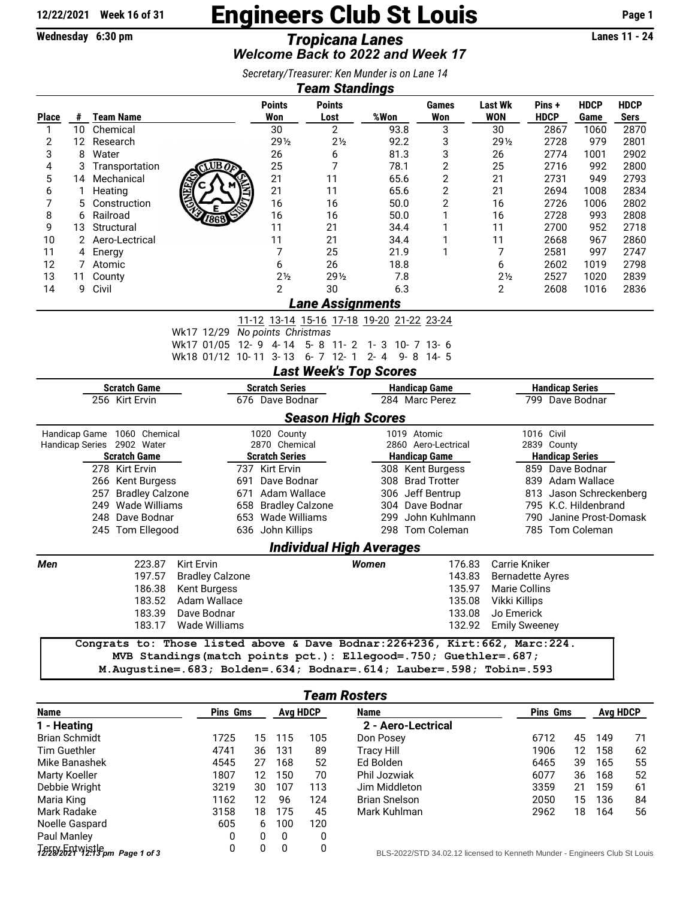## $\frac{12/22/2021}{\text{Wechesday } 6:30 \text{ pm}}$  Engineers Club St Louis Page 1

Wednesday 6:30 pm *Tropicana Lanes* Lanes 11 - 24 *\*\*\* Have FUN! No points awarded this week! \*\*\* Welcome Back to 2022 and Week 17*

| Secretary/Treasurer: Ken Munder is on Lane 14 |  |
|-----------------------------------------------|--|
| <b>Team Standings</b>                         |  |

| Te <u>am Standings</u>         |                               |                                       |                                                                               |     |                                         |                                           |        |                                             |                      |                |                                       |                     |                     |  |  |  |
|--------------------------------|-------------------------------|---------------------------------------|-------------------------------------------------------------------------------|-----|-----------------------------------------|-------------------------------------------|--------|---------------------------------------------|----------------------|----------------|---------------------------------------|---------------------|---------------------|--|--|--|
|                                |                               |                                       |                                                                               |     | <b>Points</b>                           | <b>Points</b>                             | %Won   | Games                                       |                      | <b>Last Wk</b> | Pins +                                | <b>HDCP</b>         | <b>HDCP</b>         |  |  |  |
| <b>Place</b><br>1              | #<br>10                       | <b>Team Name</b><br>Chemical          |                                                                               |     | Won<br>30                               | Lost<br>2                                 | 93.8   | Won<br>3                                    |                      | WON<br>30      | <b>HDCP</b><br>2867                   | Game<br>1060        | <b>Sers</b><br>2870 |  |  |  |
| $\overline{c}$                 |                               | 12 Research                           |                                                                               |     | 291/2                                   | $2\frac{1}{2}$                            | 92.2   | 3                                           |                      | 291/2          | 2728                                  | 979                 | 2801                |  |  |  |
| 3                              | 8                             | Water                                 |                                                                               |     | 26                                      | 6                                         | 81.3   | 3                                           |                      | 26             | 2774                                  | 1001                | 2902                |  |  |  |
| 4                              | 3                             | Transportation                        | UB                                                                            |     | 25                                      | 7                                         | 78.1   | $\overline{2}$                              |                      | 25             | 2716                                  | 992                 | 2800                |  |  |  |
| 5                              | 14                            | Mechanical                            |                                                                               |     | 21                                      | 11                                        | 65.6   | 2                                           |                      | 21             | 2731                                  | 949                 | 2793                |  |  |  |
| 6                              | 1                             | Heating                               |                                                                               |     | 21                                      | 11                                        | 65.6   | $\overline{2}$                              |                      | 21             | 2694                                  | 1008                | 2834                |  |  |  |
| 7                              | 5                             | Construction                          |                                                                               |     | 16                                      | 16                                        | 50.0   | $\overline{2}$                              |                      | 16             | 2726                                  | 1006                | 2802                |  |  |  |
| 8                              | 6                             | Railroad                              | '862                                                                          |     | 16                                      | 16                                        | 50.0   | 1                                           |                      | 16             | 2728                                  | 993                 | 2808                |  |  |  |
| 9                              | 13                            | Structural                            |                                                                               |     | 11                                      | 21                                        | 34.4   | 1                                           |                      | 11             | 2700                                  | 952                 | 2718                |  |  |  |
| 10                             |                               | 2 Aero-Lectrical                      |                                                                               |     | 11                                      | 21                                        | 34.4   | 1                                           |                      | 11             | 2668                                  | 967                 | 2860                |  |  |  |
| 11                             | 4                             | Energy                                |                                                                               |     | 7                                       | 25                                        | 21.9   | 1                                           |                      | 7              | 2581                                  | 997                 | 2747                |  |  |  |
| 12                             | 7                             | Atomic                                |                                                                               |     | 6                                       | 26                                        | 18.8   |                                             |                      | 6              | 2602                                  | 1019                | 2798                |  |  |  |
| 13                             | 11                            | County                                |                                                                               |     | 2 <sub>2</sub>                          | 291/2                                     | 7.8    |                                             |                      | 2 <sub>2</sub> | 2527                                  | 1020                | 2839                |  |  |  |
| 14                             | 9                             | Civil                                 |                                                                               |     | $\overline{2}$                          | 30                                        | 6.3    |                                             |                      | $\overline{2}$ | 2608                                  | 1016                | 2836                |  |  |  |
| <b>Lane Assignments</b>        |                               |                                       |                                                                               |     |                                         |                                           |        |                                             |                      |                |                                       |                     |                     |  |  |  |
|                                |                               |                                       |                                                                               |     |                                         | 11-12 13-14 15-16 17-18 19-20 21-22 23-24 |        |                                             |                      |                |                                       |                     |                     |  |  |  |
|                                |                               |                                       | Wk17 12/29 No points Christmas                                                |     |                                         |                                           |        |                                             |                      |                |                                       |                     |                     |  |  |  |
|                                |                               |                                       | Wk17 01/05 12-9 4-14 5-8 11-2 1-3 10-7 13-6                                   |     |                                         |                                           |        |                                             |                      |                |                                       |                     |                     |  |  |  |
|                                |                               |                                       | Wk18 01/12 10-11 3-13 6-7 12-1                                                |     |                                         |                                           |        | 2-4 9-8 14-5                                |                      |                |                                       |                     |                     |  |  |  |
|                                |                               |                                       |                                                                               |     |                                         | <b>Last Week's Top Scores</b>             |        |                                             |                      |                |                                       |                     |                     |  |  |  |
|                                |                               | <b>Scratch Game</b>                   |                                                                               |     | <b>Scratch Series</b>                   |                                           |        | <b>Handicap Game</b>                        |                      |                | <b>Handicap Series</b>                |                     |                     |  |  |  |
|                                |                               | 256 Kirt Ervin                        |                                                                               |     | 676 Dave Bodnar                         |                                           |        | 284 Marc Perez                              |                      |                | 799 Dave Bodnar                       |                     |                     |  |  |  |
|                                |                               |                                       |                                                                               |     |                                         | <b>Season High Scores</b>                 |        |                                             |                      |                |                                       |                     |                     |  |  |  |
|                                |                               | Handicap Game 1060 Chemical           |                                                                               |     | 1020 County                             |                                           |        | 1019 Atomic                                 |                      |                | 1016 Civil                            |                     |                     |  |  |  |
|                                |                               | Handicap Series 2902 Water            |                                                                               |     | 2870 Chemical                           |                                           |        | 2860 Aero-Lectrical<br><b>Handicap Game</b> |                      |                | 2839 County<br><b>Handicap Series</b> |                     |                     |  |  |  |
|                                |                               | <b>Scratch Game</b><br>278 Kirt Ervin |                                                                               |     | <b>Scratch Series</b><br>737 Kirt Ervin |                                           |        | 308 Kent Burgess                            |                      |                | 859 Dave Bodnar                       |                     |                     |  |  |  |
|                                | 266 Kent Burgess              |                                       |                                                                               |     | 691 Dave Bodnar                         |                                           |        | 308 Brad Trotter                            |                      |                | 839 Adam Wallace                      |                     |                     |  |  |  |
|                                | 257<br><b>Bradley Calzone</b> |                                       |                                                                               |     | 671 Adam Wallace                        |                                           |        | 306 Jeff Bentrup                            |                      |                | 813 Jason Schreckenberg               |                     |                     |  |  |  |
|                                | 249 Wade Williams<br>658      |                                       |                                                                               |     | <b>Bradley Calzone</b>                  |                                           |        | 304 Dave Bodnar                             |                      |                | 795 K.C. Hildenbrand                  |                     |                     |  |  |  |
|                                |                               | 248 Dave Bodnar                       |                                                                               | 653 | Wade Williams                           |                                           |        | 299 John Kuhlmann                           |                      |                | 790                                   | Janine Prost-Domask |                     |  |  |  |
|                                |                               | 245 Tom Ellegood                      |                                                                               |     | 636 John Killips                        |                                           |        | 298 Tom Coleman                             |                      |                | 785 Tom Coleman                       |                     |                     |  |  |  |
|                                |                               |                                       |                                                                               |     |                                         | <b>Individual High Averages</b>           |        |                                             |                      |                |                                       |                     |                     |  |  |  |
| Men                            |                               | 223.87                                | Kirt Ervin                                                                    |     |                                         |                                           | Women  |                                             | 176.83               |                | Carrie Kniker                         |                     |                     |  |  |  |
|                                |                               | 197.57                                | <b>Bradley Calzone</b>                                                        |     |                                         |                                           |        |                                             | 143.83               |                | <b>Bernadette Ayres</b>               |                     |                     |  |  |  |
|                                |                               | 186.38                                | <b>Kent Burgess</b>                                                           |     |                                         |                                           |        |                                             | 135.97               |                | <b>Marie Collins</b>                  |                     |                     |  |  |  |
|                                |                               | 183.52                                | Adam Wallace                                                                  |     |                                         |                                           |        |                                             | 135.08               | Vikki Killips  |                                       |                     |                     |  |  |  |
|                                |                               | 183.39                                | Dave Bodnar                                                                   |     |                                         |                                           |        |                                             | 133.08               | Jo Emerick     |                                       |                     |                     |  |  |  |
| 183.17<br><b>Wade Williams</b> |                               |                                       |                                                                               |     |                                         |                                           | 132.92 |                                             | <b>Emily Sweeney</b> |                |                                       |                     |                     |  |  |  |
|                                |                               |                                       | Congrats to: Those listed above & Dave Bodnar: 226+236, Kirt: 662, Marc: 224. |     |                                         |                                           |        |                                             |                      |                |                                       |                     |                     |  |  |  |
|                                |                               |                                       | MVB Standings (match points pct.): Ellegood=.750; Guethler=.687;              |     |                                         |                                           |        |                                             |                      |                |                                       |                     |                     |  |  |  |
|                                |                               |                                       |                                                                               |     |                                         |                                           |        |                                             |                      |                |                                       |                     |                     |  |  |  |

M.Augustine=.683; Bolden=.634; Bodnar=.614; Lauber=.598; Tobin=.593

| Team Rosters                     |                 |                 |     |      |                                                                          |      |                 |     |    |  |  |
|----------------------------------|-----------------|-----------------|-----|------|--------------------------------------------------------------------------|------|-----------------|-----|----|--|--|
| <b>Name</b>                      | <b>Pins Gms</b> | <b>Avg HDCP</b> |     | Name | <b>Pins Gms</b>                                                          |      | <b>Avg HDCP</b> |     |    |  |  |
| 1 - Heating                      |                 |                 |     |      | 2 - Aero-Lectrical                                                       |      |                 |     |    |  |  |
| <b>Brian Schmidt</b>             | 1725            | 15              | 115 | 105  | Don Posey                                                                | 6712 | 45              | 149 | 71 |  |  |
| <b>Tim Guethler</b>              | 4741            | 36              | 131 | 89   | Tracy Hill                                                               | 1906 | 12              | 158 | 62 |  |  |
| Mike Banashek                    | 4545            | 27              | 168 | 52   | Ed Bolden                                                                | 6465 | 39              | 165 | 55 |  |  |
| Marty Koeller                    | 1807            | 12              | 150 | 70   | Phil Jozwiak                                                             | 6077 | 36              | 168 | 52 |  |  |
| Debbie Wright                    | 3219            | 30              | 107 | 113  | Jim Middleton                                                            | 3359 | 21              | 159 | 61 |  |  |
| Maria King                       | 1162            | 12              | 96  | 124  | <b>Brian Snelson</b>                                                     | 2050 | 15              | 136 | 84 |  |  |
| Mark Radake                      | 3158            | 18              | 175 | 45   | Mark Kuhlman                                                             | 2962 | 18              | 164 | 56 |  |  |
| Noelle Gaspard                   | 605             | 6               | 100 | 120  |                                                                          |      |                 |     |    |  |  |
| Paul Manley                      | 0               | 0               | 0   | 0    |                                                                          |      |                 |     |    |  |  |
| $7228/2521$ Wistlepm Page 1 of 3 | 0               | 0               | 0   | 0    | BLS-2022/STD 34.02.12 licensed to Kenneth Munder - Engineers Club St Lou |      |                 |     |    |  |  |